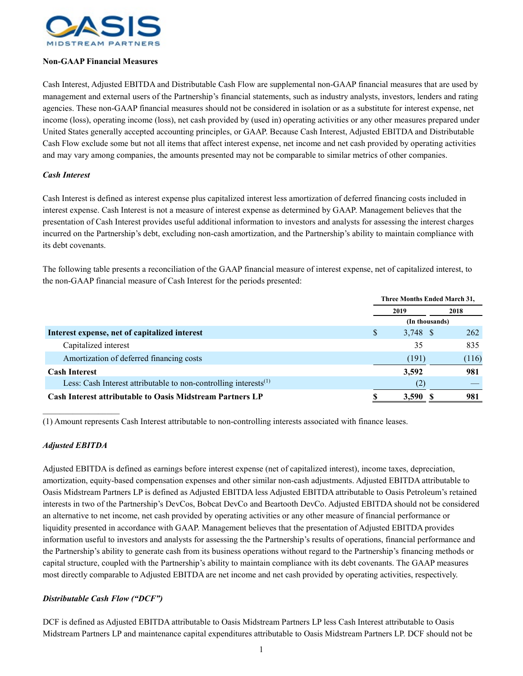

## **Non-GAAP Financial Measures**

Cash Interest, Adjusted EBITDA and Distributable Cash Flow are supplemental non-GAAP financial measures that are used by management and external users of the Partnership's financial statements, such as industry analysts, investors, lenders and rating agencies. These non-GAAP financial measures should not be considered in isolation or as a substitute for interest expense, net income (loss), operating income (loss), net cash provided by (used in) operating activities or any other measures prepared under United States generally accepted accounting principles, or GAAP. Because Cash Interest, Adjusted EBITDA and Distributable Cash Flow exclude some but not all items that affect interest expense, net income and net cash provided by operating activities and may vary among companies, the amounts presented may not be comparable to similar metrics of other companies.

## *Cash Interest*

Cash Interest is defined as interest expense plus capitalized interest less amortization of deferred financing costs included in interest expense. Cash Interest is not a measure of interest expense as determined by GAAP. Management believes that the presentation of Cash Interest provides useful additional information to investors and analysts for assessing the interest charges incurred on the Partnership's debt, excluding non-cash amortization, and the Partnership's ability to maintain compliance with its debt covenants.

The following table presents a reconciliation of the GAAP financial measure of interest expense, net of capitalized interest, to the non-GAAP financial measure of Cash Interest for the periods presented:

|                                                                     | <b>Three Months Ended March 31,</b> |       |  |
|---------------------------------------------------------------------|-------------------------------------|-------|--|
|                                                                     | 2019                                | 2018  |  |
|                                                                     | (In thousands)                      |       |  |
| Interest expense, net of capitalized interest                       | \$<br>$3,748$ \$                    | 262   |  |
| Capitalized interest                                                | 35                                  | 835   |  |
| Amortization of deferred financing costs                            | (191)                               | (116) |  |
| <b>Cash Interest</b>                                                | 3,592                               | 981   |  |
| Less: Cash Interest attributable to non-controlling interests $(1)$ | (2)                                 |       |  |
| <b>Cash Interest attributable to Oasis Midstream Partners LP</b>    | 3,590                               | 981   |  |

(1) Amount represents Cash Interest attributable to non-controlling interests associated with finance leases.

## *Adjusted EBITDA*

 $\mathcal{L}=\mathcal{L}^{\mathcal{L}}$ 

Adjusted EBITDA is defined as earnings before interest expense (net of capitalized interest), income taxes, depreciation, amortization, equity-based compensation expenses and other similar non-cash adjustments. Adjusted EBITDA attributable to Oasis Midstream Partners LP is defined as Adjusted EBITDA less Adjusted EBITDA attributable to Oasis Petroleum's retained interests in two of the Partnership's DevCos, Bobcat DevCo and Beartooth DevCo. Adjusted EBITDA should not be considered an alternative to net income, net cash provided by operating activities or any other measure of financial performance or liquidity presented in accordance with GAAP. Management believes that the presentation of Adjusted EBITDA provides information useful to investors and analysts for assessing the the Partnership's results of operations, financial performance and the Partnership's ability to generate cash from its business operations without regard to the Partnership's financing methods or capital structure, coupled with the Partnership's ability to maintain compliance with its debt covenants. The GAAP measures most directly comparable to Adjusted EBITDA are net income and net cash provided by operating activities, respectively.

## *Distributable Cash Flow ("DCF")*

DCF is defined as Adjusted EBITDA attributable to Oasis Midstream Partners LP less Cash Interest attributable to Oasis Midstream Partners LP and maintenance capital expenditures attributable to Oasis Midstream Partners LP. DCF should not be